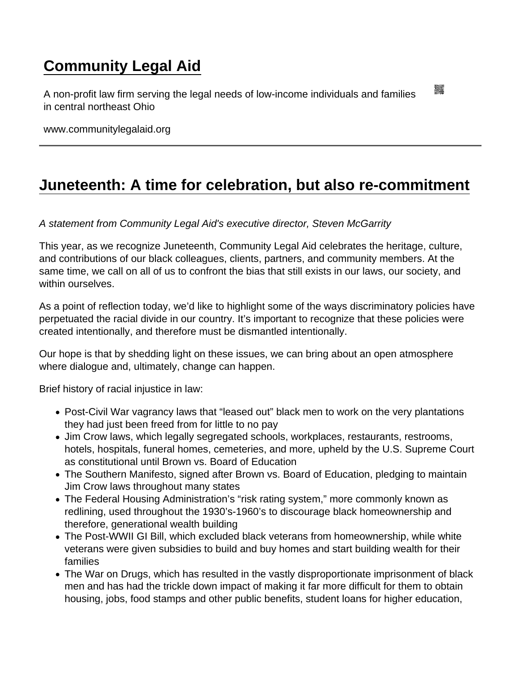## [Community Legal Aid](https://www.communitylegalaid.org/)

A non-profit law firm serving the legal needs of low-income individuals and families in central northeast Ohio

www.communitylegalaid.org

## [Juneteenth: A time for celebration, but also re-commitment](https://www.communitylegalaid.org/node/1297/juneteenth-time-celebration-also-re-commitment)

A statement from Community Legal Aid's executive director, Steven McGarrity

This year, as we recognize Juneteenth, Community Legal Aid celebrates the heritage, culture, and contributions of our black colleagues, clients, partners, and community members. At the same time, we call on all of us to confront the bias that still exists in our laws, our society, and within ourselves

As a point of reflection today, we'd like to highlight some of the ways discriminatory policies have perpetuated the racial divide in our country. It's important to recognize that these policies were created intentionally, and therefore must be dismantled intentionally.

Our hope is that by shedding light on these issues, we can bring about an open atmosphere where dialogue and, ultimately, change can happen.

Brief history of racial injustice in law:

- Post-Civil War vagrancy laws that "leased out" black men to work on the very plantations they had just been freed from for little to no pay
- Jim Crow laws, which legally segregated schools, workplaces, restaurants, restrooms, hotels, hospitals, funeral homes, cemeteries, and more, upheld by the U.S. Supreme Court as constitutional until Brown vs. Board of Education
- The Southern Manifesto, signed after Brown vs. Board of Education, pledging to maintain Jim Crow laws throughout many states
- The Federal Housing Administration's "risk rating system," more commonly known as redlining, used throughout the 1930's-1960's to discourage black homeownership and therefore, generational wealth building
- The Post-WWII GI Bill, which excluded black veterans from homeownership, while white veterans were given subsidies to build and buy homes and start building wealth for their families
- The War on Drugs, which has resulted in the vastly disproportionate imprisonment of black men and has had the trickle down impact of making it far more difficult for them to obtain housing, jobs, food stamps and other public benefits, student loans for higher education,